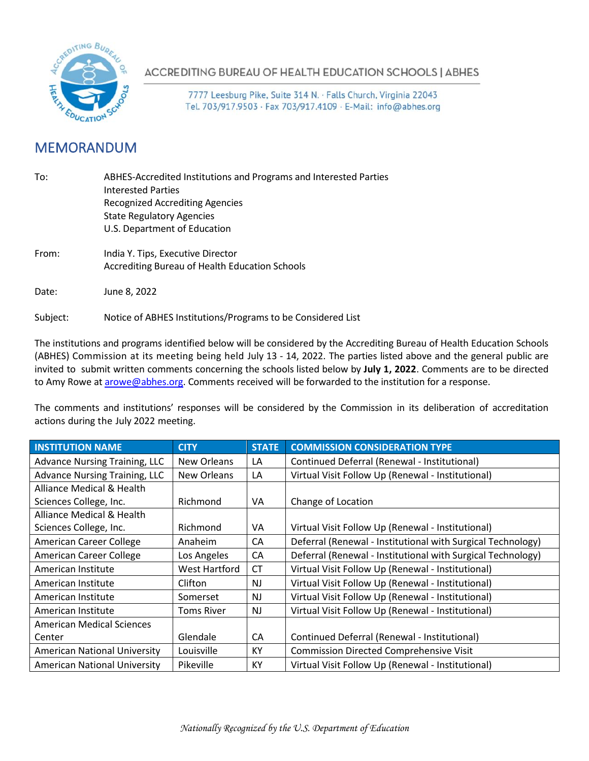

ACCREDITING BUREAU OF HEALTH EDUCATION SCHOOLS | ABHES

7777 Leesburg Pike, Suite 314 N. · Falls Church, Virginia 22043 Tel. 703/917.9503 · Fax 703/917.4109 · E-Mail: info@abhes.org

## MEMORANDUM

| To:      | ABHES-Accredited Institutions and Programs and Interested Parties<br><b>Interested Parties</b><br><b>Recognized Accrediting Agencies</b><br><b>State Regulatory Agencies</b><br>U.S. Department of Education |
|----------|--------------------------------------------------------------------------------------------------------------------------------------------------------------------------------------------------------------|
| From:    | India Y. Tips, Executive Director<br>Accrediting Bureau of Health Education Schools                                                                                                                          |
| Date:    | June 8, 2022                                                                                                                                                                                                 |
| Subject: | Notice of ABHES Institutions/Programs to be Considered List                                                                                                                                                  |

The institutions and programs identified below will be considered by the Accrediting Bureau of Health Education Schools (ABHES) Commission at its meeting being held July 13 - 14, 2022. The parties listed above and the general public are invited to submit written comments concerning the schools listed below by **July 1, 2022**. Comments are to be directed to Amy Rowe at **arowe@abhes.org**. Comments received will be forwarded to the institution for a response.

The comments and institutions' responses will be considered by the Commission in its deliberation of accreditation actions during the July 2022 meeting.

| <b>INSTITUTION NAME</b>              | <b>CITY</b>       | <b>STATE</b> | <b>COMMISSION CONSIDERATION TYPE</b>                        |
|--------------------------------------|-------------------|--------------|-------------------------------------------------------------|
| <b>Advance Nursing Training, LLC</b> | New Orleans       | LA           | Continued Deferral (Renewal - Institutional)                |
| <b>Advance Nursing Training, LLC</b> | New Orleans       | LA           | Virtual Visit Follow Up (Renewal - Institutional)           |
| Alliance Medical & Health            |                   |              |                                                             |
| Sciences College, Inc.               | Richmond          | VA           | Change of Location                                          |
| Alliance Medical & Health            |                   |              |                                                             |
| Sciences College, Inc.               | Richmond          | VA           | Virtual Visit Follow Up (Renewal - Institutional)           |
| American Career College              | Anaheim           | СA           | Deferral (Renewal - Institutional with Surgical Technology) |
| American Career College              | Los Angeles       | CA           | Deferral (Renewal - Institutional with Surgical Technology) |
| American Institute                   | West Hartford     | <b>CT</b>    | Virtual Visit Follow Up (Renewal - Institutional)           |
| American Institute                   | Clifton           | <b>NJ</b>    | Virtual Visit Follow Up (Renewal - Institutional)           |
| American Institute                   | Somerset          | <b>NJ</b>    | Virtual Visit Follow Up (Renewal - Institutional)           |
| American Institute                   | <b>Toms River</b> | <b>NJ</b>    | Virtual Visit Follow Up (Renewal - Institutional)           |
| <b>American Medical Sciences</b>     |                   |              |                                                             |
| Center                               | Glendale          | CA           | Continued Deferral (Renewal - Institutional)                |
| <b>American National University</b>  | Louisville        | KY           | <b>Commission Directed Comprehensive Visit</b>              |
| <b>American National University</b>  | Pikeville         | KY           | Virtual Visit Follow Up (Renewal - Institutional)           |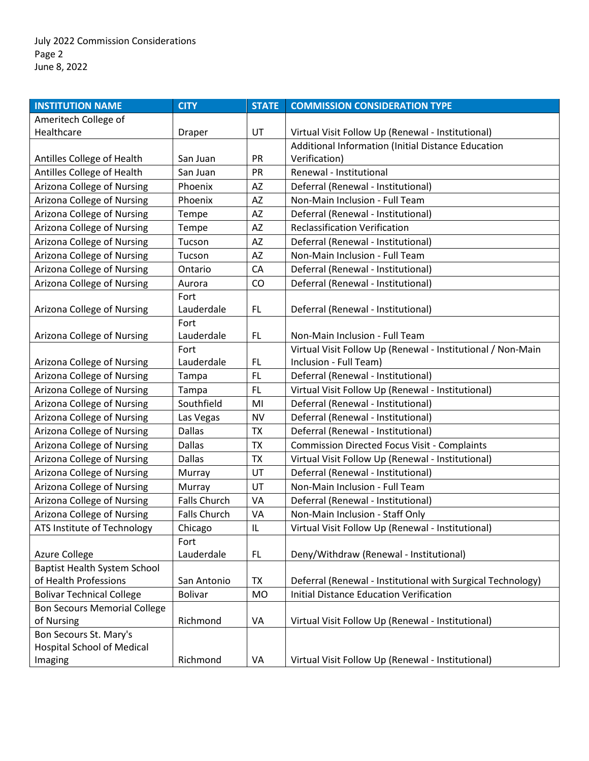| <b>INSTITUTION NAME</b>             | <b>CITY</b>         | <b>STATE</b> | <b>COMMISSION CONSIDERATION TYPE</b>                        |
|-------------------------------------|---------------------|--------------|-------------------------------------------------------------|
| Ameritech College of                |                     |              |                                                             |
| Healthcare                          | Draper              | UT           | Virtual Visit Follow Up (Renewal - Institutional)           |
|                                     |                     |              | Additional Information (Initial Distance Education          |
| Antilles College of Health          | San Juan            | <b>PR</b>    | Verification)                                               |
| Antilles College of Health          | San Juan            | PR           | Renewal - Institutional                                     |
| Arizona College of Nursing          | Phoenix             | AZ           | Deferral (Renewal - Institutional)                          |
| Arizona College of Nursing          | Phoenix             | AZ           | Non-Main Inclusion - Full Team                              |
| Arizona College of Nursing          | Tempe               | AZ           | Deferral (Renewal - Institutional)                          |
| Arizona College of Nursing          | Tempe               | AZ           | <b>Reclassification Verification</b>                        |
| Arizona College of Nursing          | Tucson              | AZ           | Deferral (Renewal - Institutional)                          |
| Arizona College of Nursing          | Tucson              | AZ           | Non-Main Inclusion - Full Team                              |
| Arizona College of Nursing          | Ontario             | CA           | Deferral (Renewal - Institutional)                          |
| Arizona College of Nursing          | Aurora              | CO           | Deferral (Renewal - Institutional)                          |
|                                     | Fort                |              |                                                             |
| Arizona College of Nursing          | Lauderdale          | FL           | Deferral (Renewal - Institutional)                          |
|                                     | Fort                |              |                                                             |
| Arizona College of Nursing          | Lauderdale          | FL.          | Non-Main Inclusion - Full Team                              |
|                                     | Fort                |              | Virtual Visit Follow Up (Renewal - Institutional / Non-Main |
| Arizona College of Nursing          | Lauderdale          | FL.          | Inclusion - Full Team)                                      |
| Arizona College of Nursing          | Tampa               | <b>FL</b>    | Deferral (Renewal - Institutional)                          |
| Arizona College of Nursing          | Tampa               | FL           | Virtual Visit Follow Up (Renewal - Institutional)           |
| Arizona College of Nursing          | Southfield          | MI           | Deferral (Renewal - Institutional)                          |
| Arizona College of Nursing          | Las Vegas           | <b>NV</b>    | Deferral (Renewal - Institutional)                          |
| Arizona College of Nursing          | <b>Dallas</b>       | <b>TX</b>    | Deferral (Renewal - Institutional)                          |
| Arizona College of Nursing          | <b>Dallas</b>       | <b>TX</b>    | <b>Commission Directed Focus Visit - Complaints</b>         |
| Arizona College of Nursing          | <b>Dallas</b>       | <b>TX</b>    | Virtual Visit Follow Up (Renewal - Institutional)           |
| Arizona College of Nursing          | Murray              | UT           | Deferral (Renewal - Institutional)                          |
| Arizona College of Nursing          | Murray              | UT           | Non-Main Inclusion - Full Team                              |
| Arizona College of Nursing          | <b>Falls Church</b> | VA           | Deferral (Renewal - Institutional)                          |
| Arizona College of Nursing          | <b>Falls Church</b> | VA           | Non-Main Inclusion - Staff Only                             |
| ATS Institute of Technology         | Chicago             | IL           | Virtual Visit Follow Up (Renewal - Institutional)           |
|                                     | Fort                |              |                                                             |
| <b>Azure College</b>                | Lauderdale          | FL.          | Deny/Withdraw (Renewal - Institutional)                     |
| Baptist Health System School        |                     |              |                                                             |
| of Health Professions               | San Antonio         | <b>TX</b>    | Deferral (Renewal - Institutional with Surgical Technology) |
| <b>Bolivar Technical College</b>    | <b>Bolivar</b>      | <b>MO</b>    | <b>Initial Distance Education Verification</b>              |
| <b>Bon Secours Memorial College</b> |                     |              |                                                             |
| of Nursing                          | Richmond            | VA           | Virtual Visit Follow Up (Renewal - Institutional)           |
| Bon Secours St. Mary's              |                     |              |                                                             |
| <b>Hospital School of Medical</b>   |                     |              |                                                             |
| Imaging                             | Richmond            | VA           | Virtual Visit Follow Up (Renewal - Institutional)           |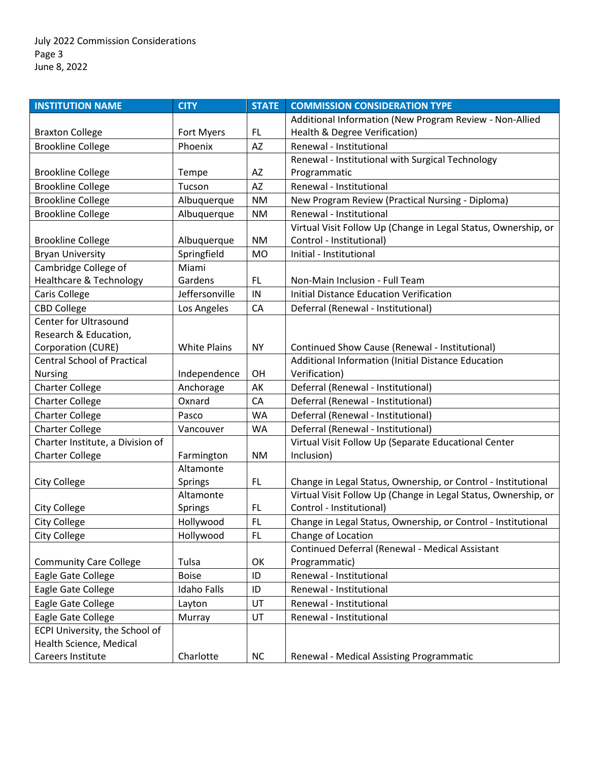| <b>INSTITUTION NAME</b>            | <b>CITY</b>         | <b>STATE</b> | <b>COMMISSION CONSIDERATION TYPE</b>                           |
|------------------------------------|---------------------|--------------|----------------------------------------------------------------|
|                                    |                     |              | Additional Information (New Program Review - Non-Allied        |
| <b>Braxton College</b>             | Fort Myers          | FL.          | Health & Degree Verification)                                  |
| <b>Brookline College</b>           | Phoenix             | AZ           | Renewal - Institutional                                        |
|                                    |                     |              | Renewal - Institutional with Surgical Technology               |
| <b>Brookline College</b>           | Tempe               | AZ           | Programmatic                                                   |
| <b>Brookline College</b>           | Tucson              | AZ           | Renewal - Institutional                                        |
| <b>Brookline College</b>           | Albuquerque         | <b>NM</b>    | New Program Review (Practical Nursing - Diploma)               |
| <b>Brookline College</b>           | Albuquerque         | <b>NM</b>    | Renewal - Institutional                                        |
|                                    |                     |              | Virtual Visit Follow Up (Change in Legal Status, Ownership, or |
| <b>Brookline College</b>           | Albuquerque         | <b>NM</b>    | Control - Institutional)                                       |
| <b>Bryan University</b>            | Springfield         | <b>MO</b>    | Initial - Institutional                                        |
| Cambridge College of               | Miami               |              |                                                                |
| <b>Healthcare &amp; Technology</b> | Gardens             | FL.          | Non-Main Inclusion - Full Team                                 |
| Caris College                      | Jeffersonville      | IN           | <b>Initial Distance Education Verification</b>                 |
| <b>CBD College</b>                 | Los Angeles         | CA           | Deferral (Renewal - Institutional)                             |
| <b>Center for Ultrasound</b>       |                     |              |                                                                |
| Research & Education,              |                     |              |                                                                |
| Corporation (CURE)                 | <b>White Plains</b> | <b>NY</b>    | Continued Show Cause (Renewal - Institutional)                 |
| <b>Central School of Practical</b> |                     |              | Additional Information (Initial Distance Education             |
| Nursing                            | Independence        | OH           | Verification)                                                  |
| <b>Charter College</b>             | Anchorage           | AK           | Deferral (Renewal - Institutional)                             |
| <b>Charter College</b>             | Oxnard              | CA           | Deferral (Renewal - Institutional)                             |
| <b>Charter College</b>             | Pasco               | <b>WA</b>    | Deferral (Renewal - Institutional)                             |
| <b>Charter College</b>             | Vancouver           | WA           | Deferral (Renewal - Institutional)                             |
| Charter Institute, a Division of   |                     |              | Virtual Visit Follow Up (Separate Educational Center           |
| <b>Charter College</b>             | Farmington          | <b>NM</b>    | Inclusion)                                                     |
|                                    | Altamonte           |              |                                                                |
| <b>City College</b>                | <b>Springs</b>      | FL           | Change in Legal Status, Ownership, or Control - Institutional  |
|                                    | Altamonte           |              | Virtual Visit Follow Up (Change in Legal Status, Ownership, or |
| City College                       | Springs             | FL.          | Control - Institutional)                                       |
| <b>City College</b>                | Hollywood           | FL.          | Change in Legal Status, Ownership, or Control - Institutional  |
| City College                       | Hollywood           | FL.          | Change of Location                                             |
|                                    |                     |              | Continued Deferral (Renewal - Medical Assistant                |
| <b>Community Care College</b>      | Tulsa               | OK           | Programmatic)                                                  |
| Eagle Gate College                 | <b>Boise</b>        | ID           | Renewal - Institutional                                        |
| Eagle Gate College                 | <b>Idaho Falls</b>  | ID           | Renewal - Institutional                                        |
| Eagle Gate College                 | Layton              | UT           | Renewal - Institutional                                        |
| Eagle Gate College                 | Murray              | UT           | Renewal - Institutional                                        |
| ECPI University, the School of     |                     |              |                                                                |
| Health Science, Medical            |                     |              |                                                                |
| <b>Careers Institute</b>           | Charlotte           | <b>NC</b>    | Renewal - Medical Assisting Programmatic                       |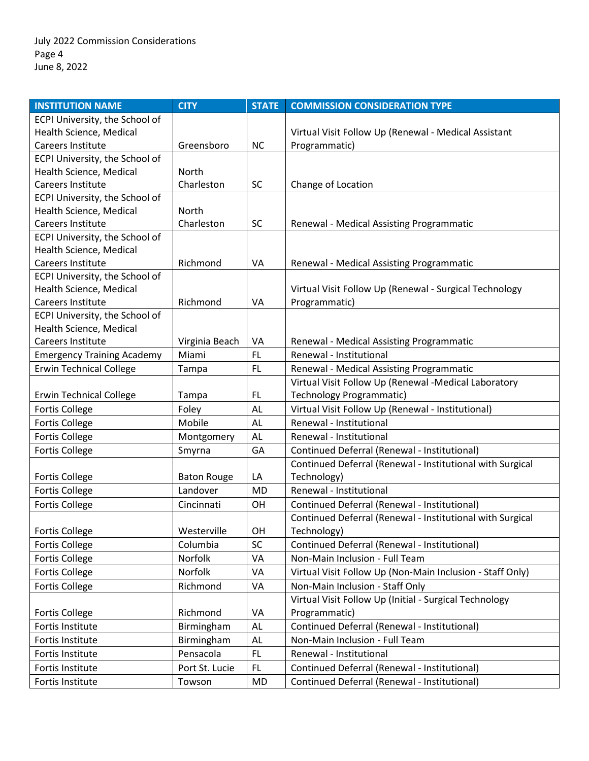| <b>INSTITUTION NAME</b>           | <b>CITY</b>        | <b>STATE</b> | <b>COMMISSION CONSIDERATION TYPE</b>                      |
|-----------------------------------|--------------------|--------------|-----------------------------------------------------------|
| ECPI University, the School of    |                    |              |                                                           |
| Health Science, Medical           |                    |              | Virtual Visit Follow Up (Renewal - Medical Assistant      |
| Careers Institute                 | Greensboro         | <b>NC</b>    | Programmatic)                                             |
| ECPI University, the School of    |                    |              |                                                           |
| Health Science, Medical           | North              |              |                                                           |
| Careers Institute                 | Charleston         | <b>SC</b>    | Change of Location                                        |
| ECPI University, the School of    |                    |              |                                                           |
| Health Science, Medical           | North              |              |                                                           |
| Careers Institute                 | Charleston         | <b>SC</b>    | Renewal - Medical Assisting Programmatic                  |
| ECPI University, the School of    |                    |              |                                                           |
| Health Science, Medical           |                    |              |                                                           |
| Careers Institute                 | Richmond           | VA           | Renewal - Medical Assisting Programmatic                  |
| ECPI University, the School of    |                    |              |                                                           |
| Health Science, Medical           |                    |              | Virtual Visit Follow Up (Renewal - Surgical Technology    |
| Careers Institute                 | Richmond           | VA           | Programmatic)                                             |
| ECPI University, the School of    |                    |              |                                                           |
| Health Science, Medical           |                    |              |                                                           |
| Careers Institute                 | Virginia Beach     | VA           | Renewal - Medical Assisting Programmatic                  |
| <b>Emergency Training Academy</b> | Miami              | FL           | Renewal - Institutional                                   |
| <b>Erwin Technical College</b>    | Tampa              | <b>FL</b>    | Renewal - Medical Assisting Programmatic                  |
|                                   |                    |              | Virtual Visit Follow Up (Renewal -Medical Laboratory      |
| <b>Erwin Technical College</b>    | Tampa              | FL.          | Technology Programmatic)                                  |
| <b>Fortis College</b>             | Foley              | <b>AL</b>    | Virtual Visit Follow Up (Renewal - Institutional)         |
| <b>Fortis College</b>             | Mobile             | AL           | Renewal - Institutional                                   |
| <b>Fortis College</b>             | Montgomery         | AL           | Renewal - Institutional                                   |
| <b>Fortis College</b>             | Smyrna             | GA           | Continued Deferral (Renewal - Institutional)              |
|                                   |                    |              | Continued Deferral (Renewal - Institutional with Surgical |
| <b>Fortis College</b>             | <b>Baton Rouge</b> | LA           | Technology)                                               |
| <b>Fortis College</b>             | Landover           | <b>MD</b>    | Renewal - Institutional                                   |
| <b>Fortis College</b>             | Cincinnati         | OH           | Continued Deferral (Renewal - Institutional)              |
|                                   |                    |              | Continued Deferral (Renewal - Institutional with Surgical |
| <b>Fortis College</b>             | Westerville        | OH           | Technology)                                               |
| <b>Fortis College</b>             | Columbia           | <b>SC</b>    | Continued Deferral (Renewal - Institutional)              |
| <b>Fortis College</b>             | Norfolk            | VA           | Non-Main Inclusion - Full Team                            |
| <b>Fortis College</b>             | Norfolk            | VA           | Virtual Visit Follow Up (Non-Main Inclusion - Staff Only) |
| <b>Fortis College</b>             | Richmond           | VA           | Non-Main Inclusion - Staff Only                           |
|                                   |                    |              | Virtual Visit Follow Up (Initial - Surgical Technology    |
| <b>Fortis College</b>             | Richmond           | VA           | Programmatic)                                             |
| Fortis Institute                  | Birmingham         | <b>AL</b>    | Continued Deferral (Renewal - Institutional)              |
| Fortis Institute                  | Birmingham         | AL           | Non-Main Inclusion - Full Team                            |
| Fortis Institute                  | Pensacola          | <b>FL</b>    | Renewal - Institutional                                   |
| Fortis Institute                  | Port St. Lucie     | FL           | Continued Deferral (Renewal - Institutional)              |
| Fortis Institute                  | Towson             | MD           | Continued Deferral (Renewal - Institutional)              |
|                                   |                    |              |                                                           |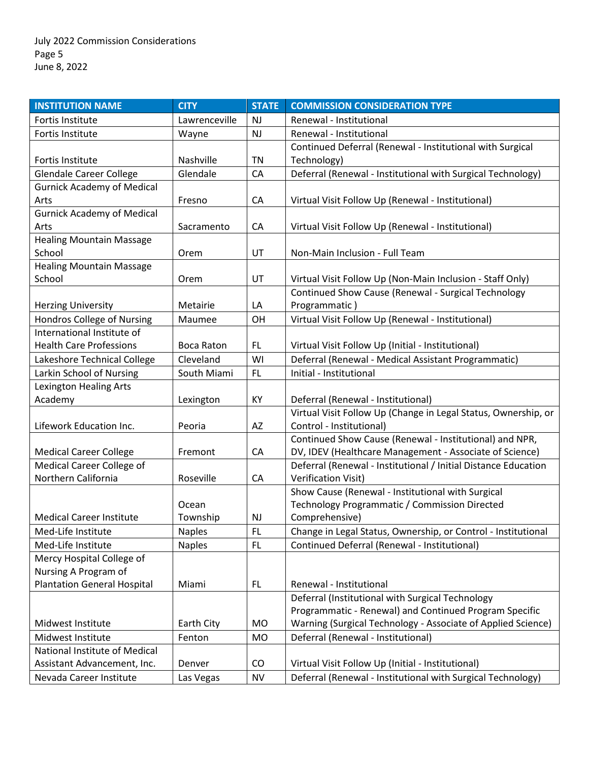| <b>INSTITUTION NAME</b>            | <b>CITY</b>       | <b>STATE</b> | <b>COMMISSION CONSIDERATION TYPE</b>                                                                                   |
|------------------------------------|-------------------|--------------|------------------------------------------------------------------------------------------------------------------------|
| <b>Fortis Institute</b>            | Lawrenceville     | <b>NJ</b>    | Renewal - Institutional                                                                                                |
| Fortis Institute                   | Wayne             | NJ           | Renewal - Institutional                                                                                                |
|                                    |                   |              | Continued Deferral (Renewal - Institutional with Surgical                                                              |
| Fortis Institute                   | Nashville         | <b>TN</b>    | Technology)                                                                                                            |
| <b>Glendale Career College</b>     | Glendale          | CA           | Deferral (Renewal - Institutional with Surgical Technology)                                                            |
| <b>Gurnick Academy of Medical</b>  |                   |              |                                                                                                                        |
| Arts                               | Fresno            | CA           | Virtual Visit Follow Up (Renewal - Institutional)                                                                      |
| <b>Gurnick Academy of Medical</b>  |                   |              |                                                                                                                        |
| Arts                               | Sacramento        | CA           | Virtual Visit Follow Up (Renewal - Institutional)                                                                      |
| <b>Healing Mountain Massage</b>    |                   |              |                                                                                                                        |
| School                             | Orem              | UT           | Non-Main Inclusion - Full Team                                                                                         |
| <b>Healing Mountain Massage</b>    |                   |              |                                                                                                                        |
| School                             | Orem              | UT           | Virtual Visit Follow Up (Non-Main Inclusion - Staff Only)                                                              |
|                                    |                   |              | Continued Show Cause (Renewal - Surgical Technology                                                                    |
| <b>Herzing University</b>          | Metairie          | LA           | Programmatic)                                                                                                          |
| Hondros College of Nursing         | Maumee            | OH           | Virtual Visit Follow Up (Renewal - Institutional)                                                                      |
| International Institute of         |                   |              |                                                                                                                        |
| <b>Health Care Professions</b>     | <b>Boca Raton</b> | FL.          | Virtual Visit Follow Up (Initial - Institutional)                                                                      |
| Lakeshore Technical College        | Cleveland         | WI           | Deferral (Renewal - Medical Assistant Programmatic)                                                                    |
| Larkin School of Nursing           | South Miami       | FL.          | Initial - Institutional                                                                                                |
| Lexington Healing Arts             |                   |              |                                                                                                                        |
| Academy                            | Lexington         | KY           | Deferral (Renewal - Institutional)                                                                                     |
|                                    |                   |              | Virtual Visit Follow Up (Change in Legal Status, Ownership, or                                                         |
| Lifework Education Inc.            | Peoria            | AZ           | Control - Institutional)                                                                                               |
|                                    |                   |              | Continued Show Cause (Renewal - Institutional) and NPR,                                                                |
| <b>Medical Career College</b>      | Fremont           | CA           | DV, IDEV (Healthcare Management - Associate of Science)                                                                |
| Medical Career College of          |                   |              | Deferral (Renewal - Institutional / Initial Distance Education                                                         |
| Northern California                | Roseville         | CA           | <b>Verification Visit)</b>                                                                                             |
|                                    |                   |              | Show Cause (Renewal - Institutional with Surgical                                                                      |
|                                    | Ocean             |              | Technology Programmatic / Commission Directed                                                                          |
| <b>Medical Career Institute</b>    | Township          | <b>NJ</b>    | Comprehensive)                                                                                                         |
| Med-Life Institute                 | <b>Naples</b>     | FL           | Change in Legal Status, Ownership, or Control - Institutional                                                          |
| Med-Life Institute                 | <b>Naples</b>     | FL.          | Continued Deferral (Renewal - Institutional)                                                                           |
| Mercy Hospital College of          |                   |              |                                                                                                                        |
| Nursing A Program of               |                   |              |                                                                                                                        |
| <b>Plantation General Hospital</b> | Miami             | FL.          | Renewal - Institutional                                                                                                |
|                                    |                   |              | Deferral (Institutional with Surgical Technology                                                                       |
| Midwest Institute                  | Earth City        | <b>MO</b>    | Programmatic - Renewal) and Continued Program Specific<br>Warning (Surgical Technology - Associate of Applied Science) |
| Midwest Institute                  |                   |              | Deferral (Renewal - Institutional)                                                                                     |
| National Institute of Medical      | Fenton            | <b>MO</b>    |                                                                                                                        |
| Assistant Advancement, Inc.        | Denver            | CO           | Virtual Visit Follow Up (Initial - Institutional)                                                                      |
| Nevada Career Institute            |                   | <b>NV</b>    | Deferral (Renewal - Institutional with Surgical Technology)                                                            |
|                                    | Las Vegas         |              |                                                                                                                        |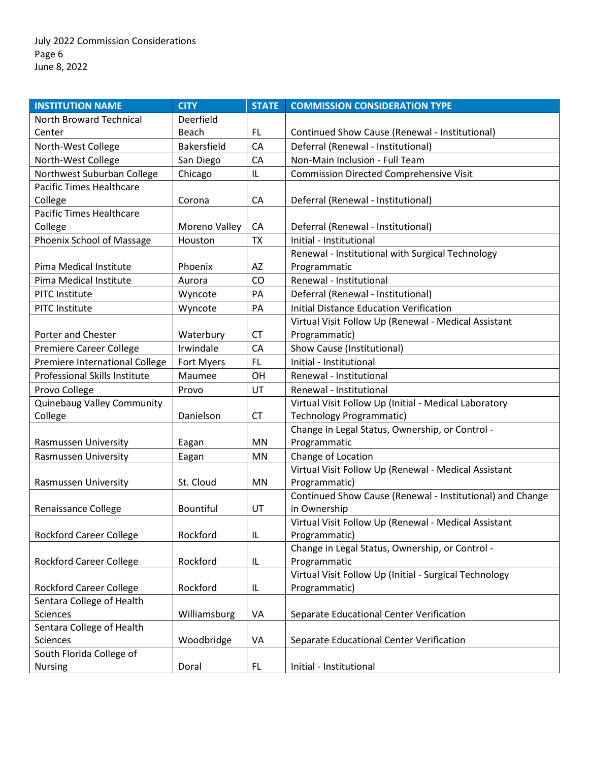| <b>INSTITUTION NAME</b>              | <b>CITY</b>        | <b>STATE</b> | <b>COMMISSION CONSIDERATION TYPE</b>                      |
|--------------------------------------|--------------------|--------------|-----------------------------------------------------------|
| North Broward Technical              | Deerfield          |              |                                                           |
| Center                               | Beach              | FL.          | Continued Show Cause (Renewal - Institutional)            |
| North-West College                   | <b>Bakersfield</b> | CA           | Deferral (Renewal - Institutional)                        |
| North-West College                   | San Diego          | CA           | Non-Main Inclusion - Full Team                            |
| Northwest Suburban College           | Chicago            | IL           | <b>Commission Directed Comprehensive Visit</b>            |
| <b>Pacific Times Healthcare</b>      |                    |              |                                                           |
| College                              | Corona             | CA           | Deferral (Renewal - Institutional)                        |
| <b>Pacific Times Healthcare</b>      |                    |              |                                                           |
| College                              | Moreno Valley      | CA           | Deferral (Renewal - Institutional)                        |
| Phoenix School of Massage            | Houston            | <b>TX</b>    | Initial - Institutional                                   |
|                                      |                    |              | Renewal - Institutional with Surgical Technology          |
| Pima Medical Institute               | Phoenix            | AZ           | Programmatic                                              |
| Pima Medical Institute               | Aurora             | CO           | Renewal - Institutional                                   |
| <b>PITC Institute</b>                | Wyncote            | PA           | Deferral (Renewal - Institutional)                        |
| <b>PITC Institute</b>                | Wyncote            | PA           | <b>Initial Distance Education Verification</b>            |
|                                      |                    |              | Virtual Visit Follow Up (Renewal - Medical Assistant      |
| Porter and Chester                   | Waterbury          | <b>CT</b>    | Programmatic)                                             |
| Premiere Career College              | Irwindale          | CA           | Show Cause (Institutional)                                |
| Premiere International College       | Fort Myers         | FL.          | Initial - Institutional                                   |
| <b>Professional Skills Institute</b> | Maumee             | OH           | Renewal - Institutional                                   |
| Provo College                        | Provo              | UT           | Renewal - Institutional                                   |
| <b>Quinebaug Valley Community</b>    |                    |              | Virtual Visit Follow Up (Initial - Medical Laboratory     |
| College                              | Danielson          | <b>CT</b>    | <b>Technology Programmatic)</b>                           |
|                                      |                    |              | Change in Legal Status, Ownership, or Control -           |
| Rasmussen University                 | Eagan              | ΜN           | Programmatic                                              |
| Rasmussen University                 | Eagan              | <b>MN</b>    | Change of Location                                        |
|                                      |                    |              | Virtual Visit Follow Up (Renewal - Medical Assistant      |
| Rasmussen University                 | St. Cloud          | ΜN           | Programmatic)                                             |
|                                      |                    |              | Continued Show Cause (Renewal - Institutional) and Change |
| Renaissance College                  | <b>Bountiful</b>   | UT           | in Ownership                                              |
|                                      |                    |              | Virtual Visit Follow Up (Renewal - Medical Assistant      |
| <b>Rockford Career College</b>       | Rockford           | IL           | Programmatic)                                             |
|                                      |                    |              | Change in Legal Status, Ownership, or Control -           |
| <b>Rockford Career College</b>       | Rockford           | IL           | Programmatic                                              |
|                                      |                    |              | Virtual Visit Follow Up (Initial - Surgical Technology    |
| <b>Rockford Career College</b>       | Rockford           | IL           | Programmatic)                                             |
| Sentara College of Health            |                    |              |                                                           |
| <b>Sciences</b>                      | Williamsburg       | VA           | Separate Educational Center Verification                  |
| Sentara College of Health            |                    |              |                                                           |
| Sciences                             | Woodbridge         | VA           | Separate Educational Center Verification                  |
| South Florida College of             |                    |              |                                                           |
| <b>Nursing</b>                       | Doral              | FL           | Initial - Institutional                                   |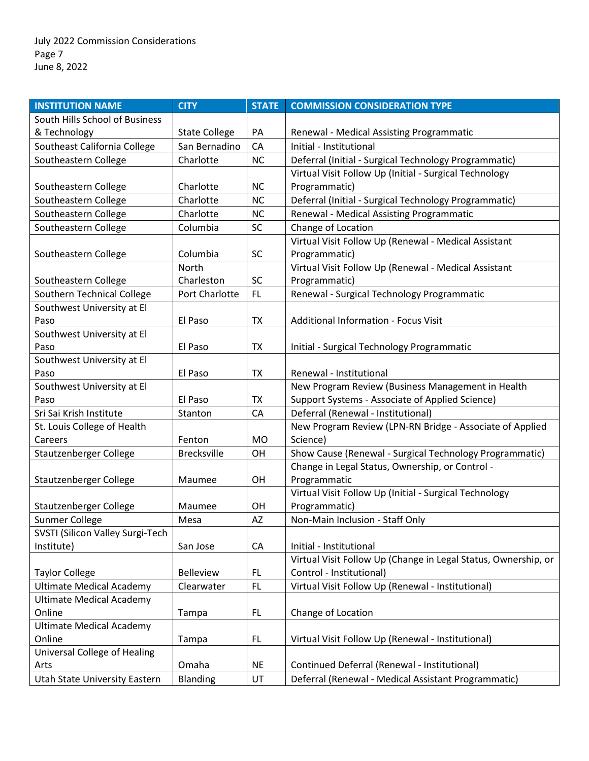| South Hills School of Business<br>& Technology<br><b>State College</b><br>PA<br>Renewal - Medical Assisting Programmatic<br>Southeast California College<br>San Bernadino<br>CA<br>Initial - Institutional<br>Southeastern College<br>Charlotte<br><b>NC</b><br>Deferral (Initial - Surgical Technology Programmatic)<br>Virtual Visit Follow Up (Initial - Surgical Technology<br>Southeastern College<br>Charlotte<br><b>NC</b><br>Programmatic)<br>Southeastern College<br>Charlotte<br>Deferral (Initial - Surgical Technology Programmatic)<br><b>NC</b><br>Southeastern College<br>Renewal - Medical Assisting Programmatic<br>Charlotte<br><b>NC</b><br>Southeastern College<br>Columbia<br><b>SC</b><br>Change of Location<br>Virtual Visit Follow Up (Renewal - Medical Assistant<br><b>SC</b><br>Programmatic)<br>Southeastern College<br>Columbia<br>Virtual Visit Follow Up (Renewal - Medical Assistant<br>North<br>Charleston<br><b>SC</b><br>Southeastern College<br>Programmatic)<br>Southern Technical College<br>Port Charlotte<br>Renewal - Surgical Technology Programmatic<br>FL.<br>Southwest University at El<br><b>Additional Information - Focus Visit</b><br>Paso<br>El Paso<br><b>TX</b><br>Southwest University at El<br>Paso<br>El Paso<br>TX<br>Initial - Surgical Technology Programmatic<br>Southwest University at El<br>El Paso<br>Renewal - Institutional<br>Paso<br>TX<br>New Program Review (Business Management in Health<br>Southwest University at El<br>El Paso<br>Support Systems - Associate of Applied Science)<br><b>TX</b><br>Paso<br>Deferral (Renewal - Institutional)<br>Sri Sai Krish Institute<br>CA<br>Stanton<br>New Program Review (LPN-RN Bridge - Associate of Applied<br>St. Louis College of Health<br>Science)<br>Fenton<br><b>MO</b><br>Careers<br>Show Cause (Renewal - Surgical Technology Programmatic)<br>Stautzenberger College<br><b>Brecksville</b><br>OH | <b>INSTITUTION NAME</b> | <b>CITY</b> | <b>STATE</b> | <b>COMMISSION CONSIDERATION TYPE</b> |
|------------------------------------------------------------------------------------------------------------------------------------------------------------------------------------------------------------------------------------------------------------------------------------------------------------------------------------------------------------------------------------------------------------------------------------------------------------------------------------------------------------------------------------------------------------------------------------------------------------------------------------------------------------------------------------------------------------------------------------------------------------------------------------------------------------------------------------------------------------------------------------------------------------------------------------------------------------------------------------------------------------------------------------------------------------------------------------------------------------------------------------------------------------------------------------------------------------------------------------------------------------------------------------------------------------------------------------------------------------------------------------------------------------------------------------------------------------------------------------------------------------------------------------------------------------------------------------------------------------------------------------------------------------------------------------------------------------------------------------------------------------------------------------------------------------------------------------------------------------------------------------------------------------------------------|-------------------------|-------------|--------------|--------------------------------------|
|                                                                                                                                                                                                                                                                                                                                                                                                                                                                                                                                                                                                                                                                                                                                                                                                                                                                                                                                                                                                                                                                                                                                                                                                                                                                                                                                                                                                                                                                                                                                                                                                                                                                                                                                                                                                                                                                                                                              |                         |             |              |                                      |
|                                                                                                                                                                                                                                                                                                                                                                                                                                                                                                                                                                                                                                                                                                                                                                                                                                                                                                                                                                                                                                                                                                                                                                                                                                                                                                                                                                                                                                                                                                                                                                                                                                                                                                                                                                                                                                                                                                                              |                         |             |              |                                      |
|                                                                                                                                                                                                                                                                                                                                                                                                                                                                                                                                                                                                                                                                                                                                                                                                                                                                                                                                                                                                                                                                                                                                                                                                                                                                                                                                                                                                                                                                                                                                                                                                                                                                                                                                                                                                                                                                                                                              |                         |             |              |                                      |
|                                                                                                                                                                                                                                                                                                                                                                                                                                                                                                                                                                                                                                                                                                                                                                                                                                                                                                                                                                                                                                                                                                                                                                                                                                                                                                                                                                                                                                                                                                                                                                                                                                                                                                                                                                                                                                                                                                                              |                         |             |              |                                      |
|                                                                                                                                                                                                                                                                                                                                                                                                                                                                                                                                                                                                                                                                                                                                                                                                                                                                                                                                                                                                                                                                                                                                                                                                                                                                                                                                                                                                                                                                                                                                                                                                                                                                                                                                                                                                                                                                                                                              |                         |             |              |                                      |
|                                                                                                                                                                                                                                                                                                                                                                                                                                                                                                                                                                                                                                                                                                                                                                                                                                                                                                                                                                                                                                                                                                                                                                                                                                                                                                                                                                                                                                                                                                                                                                                                                                                                                                                                                                                                                                                                                                                              |                         |             |              |                                      |
|                                                                                                                                                                                                                                                                                                                                                                                                                                                                                                                                                                                                                                                                                                                                                                                                                                                                                                                                                                                                                                                                                                                                                                                                                                                                                                                                                                                                                                                                                                                                                                                                                                                                                                                                                                                                                                                                                                                              |                         |             |              |                                      |
|                                                                                                                                                                                                                                                                                                                                                                                                                                                                                                                                                                                                                                                                                                                                                                                                                                                                                                                                                                                                                                                                                                                                                                                                                                                                                                                                                                                                                                                                                                                                                                                                                                                                                                                                                                                                                                                                                                                              |                         |             |              |                                      |
|                                                                                                                                                                                                                                                                                                                                                                                                                                                                                                                                                                                                                                                                                                                                                                                                                                                                                                                                                                                                                                                                                                                                                                                                                                                                                                                                                                                                                                                                                                                                                                                                                                                                                                                                                                                                                                                                                                                              |                         |             |              |                                      |
|                                                                                                                                                                                                                                                                                                                                                                                                                                                                                                                                                                                                                                                                                                                                                                                                                                                                                                                                                                                                                                                                                                                                                                                                                                                                                                                                                                                                                                                                                                                                                                                                                                                                                                                                                                                                                                                                                                                              |                         |             |              |                                      |
|                                                                                                                                                                                                                                                                                                                                                                                                                                                                                                                                                                                                                                                                                                                                                                                                                                                                                                                                                                                                                                                                                                                                                                                                                                                                                                                                                                                                                                                                                                                                                                                                                                                                                                                                                                                                                                                                                                                              |                         |             |              |                                      |
|                                                                                                                                                                                                                                                                                                                                                                                                                                                                                                                                                                                                                                                                                                                                                                                                                                                                                                                                                                                                                                                                                                                                                                                                                                                                                                                                                                                                                                                                                                                                                                                                                                                                                                                                                                                                                                                                                                                              |                         |             |              |                                      |
|                                                                                                                                                                                                                                                                                                                                                                                                                                                                                                                                                                                                                                                                                                                                                                                                                                                                                                                                                                                                                                                                                                                                                                                                                                                                                                                                                                                                                                                                                                                                                                                                                                                                                                                                                                                                                                                                                                                              |                         |             |              |                                      |
|                                                                                                                                                                                                                                                                                                                                                                                                                                                                                                                                                                                                                                                                                                                                                                                                                                                                                                                                                                                                                                                                                                                                                                                                                                                                                                                                                                                                                                                                                                                                                                                                                                                                                                                                                                                                                                                                                                                              |                         |             |              |                                      |
|                                                                                                                                                                                                                                                                                                                                                                                                                                                                                                                                                                                                                                                                                                                                                                                                                                                                                                                                                                                                                                                                                                                                                                                                                                                                                                                                                                                                                                                                                                                                                                                                                                                                                                                                                                                                                                                                                                                              |                         |             |              |                                      |
|                                                                                                                                                                                                                                                                                                                                                                                                                                                                                                                                                                                                                                                                                                                                                                                                                                                                                                                                                                                                                                                                                                                                                                                                                                                                                                                                                                                                                                                                                                                                                                                                                                                                                                                                                                                                                                                                                                                              |                         |             |              |                                      |
|                                                                                                                                                                                                                                                                                                                                                                                                                                                                                                                                                                                                                                                                                                                                                                                                                                                                                                                                                                                                                                                                                                                                                                                                                                                                                                                                                                                                                                                                                                                                                                                                                                                                                                                                                                                                                                                                                                                              |                         |             |              |                                      |
|                                                                                                                                                                                                                                                                                                                                                                                                                                                                                                                                                                                                                                                                                                                                                                                                                                                                                                                                                                                                                                                                                                                                                                                                                                                                                                                                                                                                                                                                                                                                                                                                                                                                                                                                                                                                                                                                                                                              |                         |             |              |                                      |
|                                                                                                                                                                                                                                                                                                                                                                                                                                                                                                                                                                                                                                                                                                                                                                                                                                                                                                                                                                                                                                                                                                                                                                                                                                                                                                                                                                                                                                                                                                                                                                                                                                                                                                                                                                                                                                                                                                                              |                         |             |              |                                      |
|                                                                                                                                                                                                                                                                                                                                                                                                                                                                                                                                                                                                                                                                                                                                                                                                                                                                                                                                                                                                                                                                                                                                                                                                                                                                                                                                                                                                                                                                                                                                                                                                                                                                                                                                                                                                                                                                                                                              |                         |             |              |                                      |
|                                                                                                                                                                                                                                                                                                                                                                                                                                                                                                                                                                                                                                                                                                                                                                                                                                                                                                                                                                                                                                                                                                                                                                                                                                                                                                                                                                                                                                                                                                                                                                                                                                                                                                                                                                                                                                                                                                                              |                         |             |              |                                      |
|                                                                                                                                                                                                                                                                                                                                                                                                                                                                                                                                                                                                                                                                                                                                                                                                                                                                                                                                                                                                                                                                                                                                                                                                                                                                                                                                                                                                                                                                                                                                                                                                                                                                                                                                                                                                                                                                                                                              |                         |             |              |                                      |
|                                                                                                                                                                                                                                                                                                                                                                                                                                                                                                                                                                                                                                                                                                                                                                                                                                                                                                                                                                                                                                                                                                                                                                                                                                                                                                                                                                                                                                                                                                                                                                                                                                                                                                                                                                                                                                                                                                                              |                         |             |              |                                      |
|                                                                                                                                                                                                                                                                                                                                                                                                                                                                                                                                                                                                                                                                                                                                                                                                                                                                                                                                                                                                                                                                                                                                                                                                                                                                                                                                                                                                                                                                                                                                                                                                                                                                                                                                                                                                                                                                                                                              |                         |             |              |                                      |
|                                                                                                                                                                                                                                                                                                                                                                                                                                                                                                                                                                                                                                                                                                                                                                                                                                                                                                                                                                                                                                                                                                                                                                                                                                                                                                                                                                                                                                                                                                                                                                                                                                                                                                                                                                                                                                                                                                                              |                         |             |              |                                      |
|                                                                                                                                                                                                                                                                                                                                                                                                                                                                                                                                                                                                                                                                                                                                                                                                                                                                                                                                                                                                                                                                                                                                                                                                                                                                                                                                                                                                                                                                                                                                                                                                                                                                                                                                                                                                                                                                                                                              |                         |             |              |                                      |
| Change in Legal Status, Ownership, or Control -                                                                                                                                                                                                                                                                                                                                                                                                                                                                                                                                                                                                                                                                                                                                                                                                                                                                                                                                                                                                                                                                                                                                                                                                                                                                                                                                                                                                                                                                                                                                                                                                                                                                                                                                                                                                                                                                              |                         |             |              |                                      |
| Stautzenberger College<br>Programmatic<br>OH<br>Maumee                                                                                                                                                                                                                                                                                                                                                                                                                                                                                                                                                                                                                                                                                                                                                                                                                                                                                                                                                                                                                                                                                                                                                                                                                                                                                                                                                                                                                                                                                                                                                                                                                                                                                                                                                                                                                                                                       |                         |             |              |                                      |
| Virtual Visit Follow Up (Initial - Surgical Technology                                                                                                                                                                                                                                                                                                                                                                                                                                                                                                                                                                                                                                                                                                                                                                                                                                                                                                                                                                                                                                                                                                                                                                                                                                                                                                                                                                                                                                                                                                                                                                                                                                                                                                                                                                                                                                                                       |                         |             |              |                                      |
| Programmatic)<br>Stautzenberger College<br>OH<br>Maumee                                                                                                                                                                                                                                                                                                                                                                                                                                                                                                                                                                                                                                                                                                                                                                                                                                                                                                                                                                                                                                                                                                                                                                                                                                                                                                                                                                                                                                                                                                                                                                                                                                                                                                                                                                                                                                                                      |                         |             |              |                                      |
| Non-Main Inclusion - Staff Only<br>Sunmer College<br>AZ<br>Mesa<br>SVSTI (Silicon Valley Surgi-Tech                                                                                                                                                                                                                                                                                                                                                                                                                                                                                                                                                                                                                                                                                                                                                                                                                                                                                                                                                                                                                                                                                                                                                                                                                                                                                                                                                                                                                                                                                                                                                                                                                                                                                                                                                                                                                          |                         |             |              |                                      |
| Initial - Institutional<br>Institute)<br>CA<br>San Jose                                                                                                                                                                                                                                                                                                                                                                                                                                                                                                                                                                                                                                                                                                                                                                                                                                                                                                                                                                                                                                                                                                                                                                                                                                                                                                                                                                                                                                                                                                                                                                                                                                                                                                                                                                                                                                                                      |                         |             |              |                                      |
| Virtual Visit Follow Up (Change in Legal Status, Ownership, or                                                                                                                                                                                                                                                                                                                                                                                                                                                                                                                                                                                                                                                                                                                                                                                                                                                                                                                                                                                                                                                                                                                                                                                                                                                                                                                                                                                                                                                                                                                                                                                                                                                                                                                                                                                                                                                               |                         |             |              |                                      |
| Control - Institutional)<br><b>Taylor College</b><br><b>Belleview</b><br>FL                                                                                                                                                                                                                                                                                                                                                                                                                                                                                                                                                                                                                                                                                                                                                                                                                                                                                                                                                                                                                                                                                                                                                                                                                                                                                                                                                                                                                                                                                                                                                                                                                                                                                                                                                                                                                                                  |                         |             |              |                                      |
| <b>Ultimate Medical Academy</b><br>Virtual Visit Follow Up (Renewal - Institutional)<br>FL.<br>Clearwater                                                                                                                                                                                                                                                                                                                                                                                                                                                                                                                                                                                                                                                                                                                                                                                                                                                                                                                                                                                                                                                                                                                                                                                                                                                                                                                                                                                                                                                                                                                                                                                                                                                                                                                                                                                                                    |                         |             |              |                                      |
| <b>Ultimate Medical Academy</b>                                                                                                                                                                                                                                                                                                                                                                                                                                                                                                                                                                                                                                                                                                                                                                                                                                                                                                                                                                                                                                                                                                                                                                                                                                                                                                                                                                                                                                                                                                                                                                                                                                                                                                                                                                                                                                                                                              |                         |             |              |                                      |
| Change of Location<br>Online<br>Tampa<br>FL                                                                                                                                                                                                                                                                                                                                                                                                                                                                                                                                                                                                                                                                                                                                                                                                                                                                                                                                                                                                                                                                                                                                                                                                                                                                                                                                                                                                                                                                                                                                                                                                                                                                                                                                                                                                                                                                                  |                         |             |              |                                      |
| <b>Ultimate Medical Academy</b>                                                                                                                                                                                                                                                                                                                                                                                                                                                                                                                                                                                                                                                                                                                                                                                                                                                                                                                                                                                                                                                                                                                                                                                                                                                                                                                                                                                                                                                                                                                                                                                                                                                                                                                                                                                                                                                                                              |                         |             |              |                                      |
| Online<br>Virtual Visit Follow Up (Renewal - Institutional)<br>FL<br>Tampa                                                                                                                                                                                                                                                                                                                                                                                                                                                                                                                                                                                                                                                                                                                                                                                                                                                                                                                                                                                                                                                                                                                                                                                                                                                                                                                                                                                                                                                                                                                                                                                                                                                                                                                                                                                                                                                   |                         |             |              |                                      |
| <b>Universal College of Healing</b>                                                                                                                                                                                                                                                                                                                                                                                                                                                                                                                                                                                                                                                                                                                                                                                                                                                                                                                                                                                                                                                                                                                                                                                                                                                                                                                                                                                                                                                                                                                                                                                                                                                                                                                                                                                                                                                                                          |                         |             |              |                                      |
| Continued Deferral (Renewal - Institutional)<br>Arts<br>Omaha<br><b>NE</b>                                                                                                                                                                                                                                                                                                                                                                                                                                                                                                                                                                                                                                                                                                                                                                                                                                                                                                                                                                                                                                                                                                                                                                                                                                                                                                                                                                                                                                                                                                                                                                                                                                                                                                                                                                                                                                                   |                         |             |              |                                      |
| Blanding<br>UT<br>Deferral (Renewal - Medical Assistant Programmatic)<br>Utah State University Eastern                                                                                                                                                                                                                                                                                                                                                                                                                                                                                                                                                                                                                                                                                                                                                                                                                                                                                                                                                                                                                                                                                                                                                                                                                                                                                                                                                                                                                                                                                                                                                                                                                                                                                                                                                                                                                       |                         |             |              |                                      |